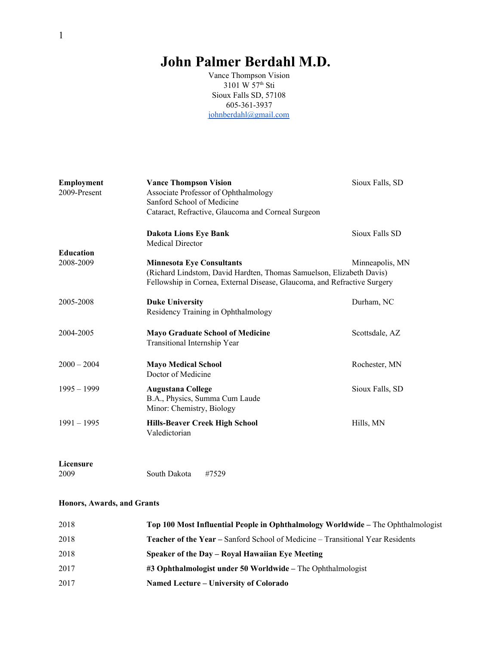# **John Palmer Berdahl M.D.**

Vance Thompson Vision 3101 W 57 th Sti Sioux Falls SD, 57108 605-361-3937 [johnberdahl@gmail.com](mailto:johnberdahl@gmail.com)

| Employment<br>2009-Present    | <b>Vance Thompson Vision</b><br>Associate Professor of Ophthalmology<br>Sanford School of Medicine<br>Cataract, Refractive, Glaucoma and Corneal Surgeon                             | Sioux Falls, SD |
|-------------------------------|--------------------------------------------------------------------------------------------------------------------------------------------------------------------------------------|-----------------|
|                               | <b>Dakota Lions Eye Bank</b><br><b>Medical Director</b>                                                                                                                              | Sioux Falls SD  |
| <b>Education</b><br>2008-2009 | <b>Minnesota Eye Consultants</b><br>(Richard Lindstom, David Hardten, Thomas Samuelson, Elizabeth Davis)<br>Fellowship in Cornea, External Disease, Glaucoma, and Refractive Surgery | Minneapolis, MN |
| 2005-2008                     | <b>Duke University</b><br>Residency Training in Ophthalmology                                                                                                                        | Durham, NC      |
| 2004-2005                     | <b>Mayo Graduate School of Medicine</b><br>Transitional Internship Year                                                                                                              | Scottsdale, AZ  |
| $2000 - 2004$                 | <b>Mayo Medical School</b><br>Doctor of Medicine                                                                                                                                     | Rochester, MN   |
| $1995 - 1999$                 | <b>Augustana College</b><br>B.A., Physics, Summa Cum Laude<br>Minor: Chemistry, Biology                                                                                              | Sioux Falls, SD |
| $1991 - 1995$                 | <b>Hills-Beaver Creek High School</b><br>Valedictorian                                                                                                                               | Hills, MN       |
| Licensure                     |                                                                                                                                                                                      |                 |
| 2009                          | South Dakota<br>#7529                                                                                                                                                                |                 |

#### **Honors, Awards, and Grants**

| 2018 | Top 100 Most Influential People in Ophthalmology Worldwide – The Ophthalmologist      |
|------|---------------------------------------------------------------------------------------|
| 2018 | <b>Teacher of the Year – Sanford School of Medicine – Transitional Year Residents</b> |
| 2018 | Speaker of the Day – Royal Hawaiian Eve Meeting                                       |
| 2017 | #3 Ophthalmologist under 50 Worldwide - The Ophthalmologist                           |
| 2017 | Named Lecture – University of Colorado                                                |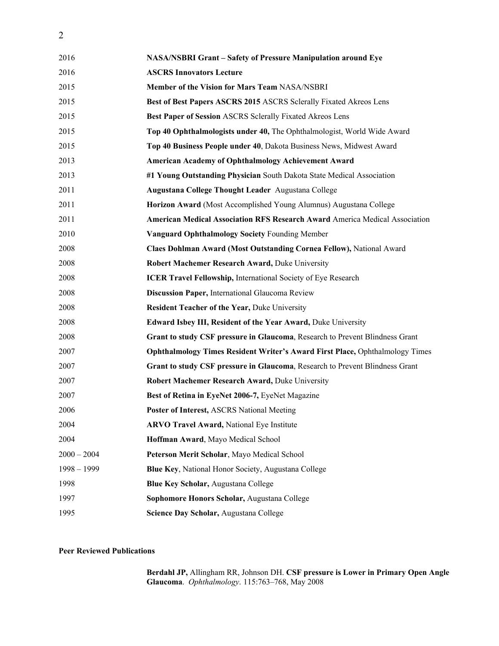| 2016          | <b>NASA/NSBRI Grant - Safety of Pressure Manipulation around Eye</b>                |
|---------------|-------------------------------------------------------------------------------------|
| 2016          | <b>ASCRS Innovators Lecture</b>                                                     |
| 2015          | Member of the Vision for Mars Team NASA/NSBRI                                       |
| 2015          | Best of Best Papers ASCRS 2015 ASCRS Sclerally Fixated Akreos Lens                  |
| 2015          | Best Paper of Session ASCRS Sclerally Fixated Akreos Lens                           |
| 2015          | Top 40 Ophthalmologists under 40, The Ophthalmologist, World Wide Award             |
| 2015          | Top 40 Business People under 40, Dakota Business News, Midwest Award                |
| 2013          | <b>American Academy of Ophthalmology Achievement Award</b>                          |
| 2013          | #1 Young Outstanding Physician South Dakota State Medical Association               |
| 2011          | Augustana College Thought Leader Augustana College                                  |
| 2011          | Horizon Award (Most Accomplished Young Alumnus) Augustana College                   |
| 2011          | <b>American Medical Association RFS Research Award America Medical Association</b>  |
| 2010          | Vanguard Ophthalmology Society Founding Member                                      |
| 2008          | Claes Dohlman Award (Most Outstanding Cornea Fellow), National Award                |
| 2008          | Robert Machemer Research Award, Duke University                                     |
| 2008          | ICER Travel Fellowship, International Society of Eye Research                       |
| 2008          | Discussion Paper, International Glaucoma Review                                     |
| 2008          | Resident Teacher of the Year, Duke University                                       |
| 2008          | Edward Isbey III, Resident of the Year Award, Duke University                       |
| 2008          | Grant to study CSF pressure in Glaucoma, Research to Prevent Blindness Grant        |
| 2007          | <b>Ophthalmology Times Resident Writer's Award First Place, Ophthalmology Times</b> |
| 2007          | Grant to study CSF pressure in Glaucoma, Research to Prevent Blindness Grant        |
| 2007          | Robert Machemer Research Award, Duke University                                     |
| 2007          | Best of Retina in EyeNet 2006-7, EyeNet Magazine                                    |
| 2006          | Poster of Interest, ASCRS National Meeting                                          |
| 2004          | <b>ARVO Travel Award, National Eye Institute</b>                                    |
| 2004          | Hoffman Award, Mayo Medical School                                                  |
| $2000 - 2004$ | Peterson Merit Scholar, Mayo Medical School                                         |
| $1998 - 1999$ | Blue Key, National Honor Society, Augustana College                                 |
| 1998          | Blue Key Scholar, Augustana College                                                 |
| 1997          | Sophomore Honors Scholar, Augustana College                                         |
| 1995          | Science Day Scholar, Augustana College                                              |
|               |                                                                                     |

#### **Peer Reviewed Publications**

**Berdahl JP,** Allingham RR, Johnson DH. **CSF pressure is Lower in Primary Open Angle Glaucoma**. *Ophthalmology*. 115:763–768, May 2008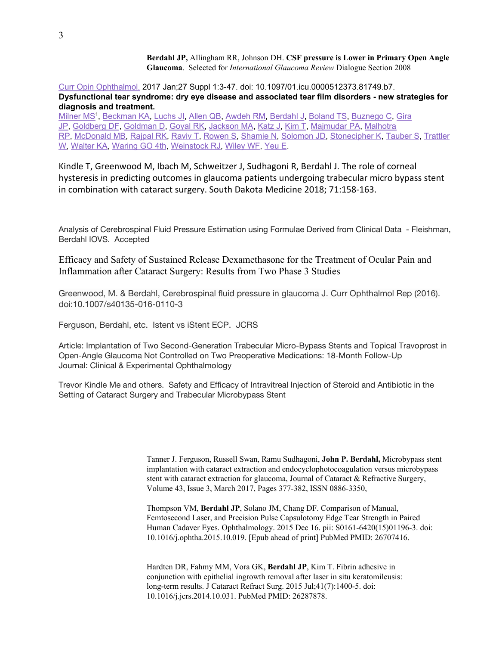**Berdahl JP,** Allingham RR, Johnson DH. **CSF pressure is Lower in Primary Open Angle Glaucoma**. Selected for *International Glaucoma Review* Dialogue Section 2008

Curr Opin [Ophthalmol.](https://www.ncbi.nlm.nih.gov/pubmed/28099212) 2017 Jan;27 Suppl 1:3-47. doi: 10.1097/01.icu.0000512373.81749.b7. **Dysfunctional tear syndrome: dry eye disease and associated tear film disorders - new strategies for diagnosis and treatment.**

[Milner](https://www.ncbi.nlm.nih.gov/pubmed/?term=Milner%20MS%5BAuthor%5D&cauthor=true&cauthor_uid=28099212) MS 1 , [Beckman](https://www.ncbi.nlm.nih.gov/pubmed/?term=Beckman%20KA%5BAuthor%5D&cauthor=true&cauthor_uid=28099212) KA, [Luchs](https://www.ncbi.nlm.nih.gov/pubmed/?term=Luchs%20JI%5BAuthor%5D&cauthor=true&cauthor_uid=28099212) JI, [Allen](https://www.ncbi.nlm.nih.gov/pubmed/?term=Allen%20QB%5BAuthor%5D&cauthor=true&cauthor_uid=28099212) QB, [Awdeh](https://www.ncbi.nlm.nih.gov/pubmed/?term=Awdeh%20RM%5BAuthor%5D&cauthor=true&cauthor_uid=28099212) RM, [Berdahl](https://www.ncbi.nlm.nih.gov/pubmed/?term=Berdahl%20J%5BAuthor%5D&cauthor=true&cauthor_uid=28099212) J, [Boland](https://www.ncbi.nlm.nih.gov/pubmed/?term=Boland%20TS%5BAuthor%5D&cauthor=true&cauthor_uid=28099212) TS, [Buznego](https://www.ncbi.nlm.nih.gov/pubmed/?term=Buznego%20C%5BAuthor%5D&cauthor=true&cauthor_uid=28099212) C, [Gira](https://www.ncbi.nlm.nih.gov/pubmed/?term=Gira%20JP%5BAuthor%5D&cauthor=true&cauthor_uid=28099212) [JP,](https://www.ncbi.nlm.nih.gov/pubmed/?term=Gira%20JP%5BAuthor%5D&cauthor=true&cauthor_uid=28099212) [Goldberg](https://www.ncbi.nlm.nih.gov/pubmed/?term=Goldberg%20DF%5BAuthor%5D&cauthor=true&cauthor_uid=28099212) DF, [Goldman](https://www.ncbi.nlm.nih.gov/pubmed/?term=Goldman%20D%5BAuthor%5D&cauthor=true&cauthor_uid=28099212) D, [Goyal](https://www.ncbi.nlm.nih.gov/pubmed/?term=Goyal%20RK%5BAuthor%5D&cauthor=true&cauthor_uid=28099212) RK, [Jackson](https://www.ncbi.nlm.nih.gov/pubmed/?term=Jackson%20MA%5BAuthor%5D&cauthor=true&cauthor_uid=28099212) MA, [Katz](https://www.ncbi.nlm.nih.gov/pubmed/?term=Katz%20J%5BAuthor%5D&cauthor=true&cauthor_uid=28099212) J, [Kim](https://www.ncbi.nlm.nih.gov/pubmed/?term=Kim%20T%5BAuthor%5D&cauthor=true&cauthor_uid=28099212) T, [Majmudar](https://www.ncbi.nlm.nih.gov/pubmed/?term=Majmudar%20PA%5BAuthor%5D&cauthor=true&cauthor_uid=28099212) PA, [Malhotra](https://www.ncbi.nlm.nih.gov/pubmed/?term=Malhotra%20RP%5BAuthor%5D&cauthor=true&cauthor_uid=28099212) [RP,](https://www.ncbi.nlm.nih.gov/pubmed/?term=Malhotra%20RP%5BAuthor%5D&cauthor=true&cauthor_uid=28099212) [McDonald](https://www.ncbi.nlm.nih.gov/pubmed/?term=McDonald%20MB%5BAuthor%5D&cauthor=true&cauthor_uid=28099212) MB, [Rajpal](https://www.ncbi.nlm.nih.gov/pubmed/?term=Rajpal%20RK%5BAuthor%5D&cauthor=true&cauthor_uid=28099212) RK, [Raviv](https://www.ncbi.nlm.nih.gov/pubmed/?term=Raviv%20T%5BAuthor%5D&cauthor=true&cauthor_uid=28099212) T, [Rowen](https://www.ncbi.nlm.nih.gov/pubmed/?term=Rowen%20S%5BAuthor%5D&cauthor=true&cauthor_uid=28099212) S, [Shamie](https://www.ncbi.nlm.nih.gov/pubmed/?term=Shamie%20N%5BAuthor%5D&cauthor=true&cauthor_uid=28099212) N, [Solomon](https://www.ncbi.nlm.nih.gov/pubmed/?term=Solomon%20JD%5BAuthor%5D&cauthor=true&cauthor_uid=28099212) JD, [Stonecipher](https://www.ncbi.nlm.nih.gov/pubmed/?term=Stonecipher%20K%5BAuthor%5D&cauthor=true&cauthor_uid=28099212) K, [Tauber](https://www.ncbi.nlm.nih.gov/pubmed/?term=Tauber%20S%5BAuthor%5D&cauthor=true&cauthor_uid=28099212) S, [Trattler](https://www.ncbi.nlm.nih.gov/pubmed/?term=Trattler%20W%5BAuthor%5D&cauthor=true&cauthor_uid=28099212) [W,](https://www.ncbi.nlm.nih.gov/pubmed/?term=Trattler%20W%5BAuthor%5D&cauthor=true&cauthor_uid=28099212) [Walter](https://www.ncbi.nlm.nih.gov/pubmed/?term=Walter%20KA%5BAuthor%5D&cauthor=true&cauthor_uid=28099212) KA, [Waring](https://www.ncbi.nlm.nih.gov/pubmed/?term=Waring%20GO%204th%5BAuthor%5D&cauthor=true&cauthor_uid=28099212) GO 4th, [Weinstock](https://www.ncbi.nlm.nih.gov/pubmed/?term=Weinstock%20RJ%5BAuthor%5D&cauthor=true&cauthor_uid=28099212) RJ, [Wiley](https://www.ncbi.nlm.nih.gov/pubmed/?term=Wiley%20WF%5BAuthor%5D&cauthor=true&cauthor_uid=28099212) WF, [Yeu](https://www.ncbi.nlm.nih.gov/pubmed/?term=Yeu%20E%5BAuthor%5D&cauthor=true&cauthor_uid=28099212) E.

Kindle T, Greenwood M, Ibach M, Schweitzer J, Sudhagoni R, Berdahl J. The role of corneal hysteresis in predicting outcomes in glaucoma patients undergoing trabecular micro bypass stent in combination with cataract surgery. South Dakota Medicine 2018; 71:158-163.

Analysis of Cerebrospinal Fluid Pressure Estimation using Formulae Derived from Clinical Data - Fleishman, Berdahl IOVS. Accepted

Efficacy and Safety of Sustained Release Dexamethasone for the Treatment of Ocular Pain and Inflammation after Cataract Surgery: Results from Two Phase 3 Studies

Greenwood, M. & Berdahl, Cerebrospinal fluid pressure in glaucoma J. Curr Ophthalmol Rep (2016). doi:10.1007/s40135-016-0110-3

Ferguson, Berdahl, etc. Istent vs iStent ECP. JCRS

Article: Implantation of Two Second-Generation Trabecular Micro-Bypass Stents and Topical Travoprost in Open-Angle Glaucoma Not Controlled on Two Preoperative Medications: 18-Month Follow-Up Journal: Clinical & Experimental Ophthalmology

Trevor Kindle Me and others. Safety and Efficacy of Intravitreal Injection of Steroid and Antibiotic in the Setting of Cataract Surgery and Trabecular Microbypass Stent

> Tanner J. Ferguson, Russell Swan, Ramu Sudhagoni, **John P. Berdahl,** Microbypass stent implantation with cataract extraction and endocyclophotocoagulation versus microbypass stent with cataract extraction for glaucoma, Journal of Cataract & Refractive Surgery, Volume 43, Issue 3, March 2017, Pages 377-382, ISSN 0886-3350,

Thompson VM, **Berdahl JP**, Solano JM, Chang DF. Comparison of Manual, Femtosecond Laser, and Precision Pulse Capsulotomy Edge Tear Strength in Paired Human Cadaver Eyes. Ophthalmology. 2015 Dec 16. pii: S0161-6420(15)01196-3. doi: 10.1016/j.ophtha.2015.10.019. [Epub ahead of print] PubMed PMID: 26707416.

Hardten DR, Fahmy MM, Vora GK, **Berdahl JP**, Kim T. Fibrin adhesive in conjunction with epithelial ingrowth removal after laser in situ keratomileusis: long-term results. J Cataract Refract Surg. 2015 Jul;41(7):1400-5. doi: 10.1016/j.jcrs.2014.10.031. PubMed PMID: 26287878.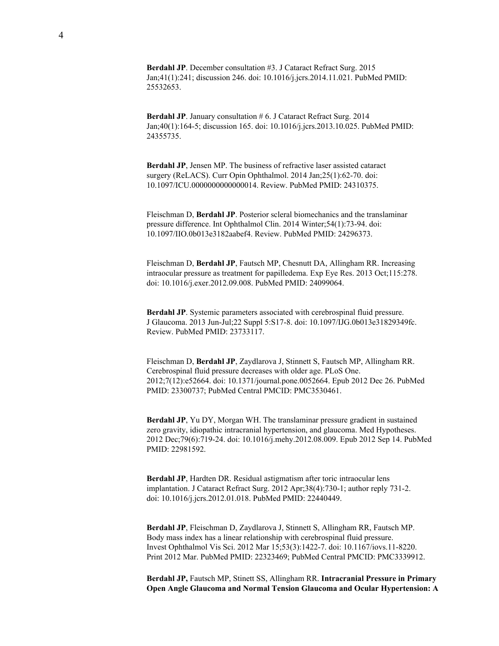**Berdahl JP**. December consultation #3. J Cataract Refract Surg. 2015 Jan;41(1):241; discussion 246. doi: 10.1016/j.jcrs.2014.11.021. PubMed PMID: 25532653.

**Berdahl JP**. January consultation # 6. J Cataract Refract Surg. 2014 Jan;40(1):164-5; discussion 165. doi: 10.1016/j.jcrs.2013.10.025. PubMed PMID: 24355735.

**Berdahl JP**, Jensen MP. The business of refractive laser assisted cataract surgery (ReLACS). Curr Opin Ophthalmol. 2014 Jan;25(1):62-70. doi: 10.1097/ICU.0000000000000014. Review. PubMed PMID: 24310375.

Fleischman D, **Berdahl JP**. Posterior scleral biomechanics and the translaminar pressure difference. Int Ophthalmol Clin. 2014 Winter;54(1):73-94. doi: 10.1097/IIO.0b013e3182aabef4. Review. PubMed PMID: 24296373.

Fleischman D, **Berdahl JP**, Fautsch MP, Chesnutt DA, Allingham RR. Increasing intraocular pressure as treatment for papilledema. Exp Eye Res. 2013 Oct;115:278. doi: 10.1016/j.exer.2012.09.008. PubMed PMID: 24099064.

**Berdahl JP**. Systemic parameters associated with cerebrospinal fluid pressure. J Glaucoma. 2013 Jun-Jul;22 Suppl 5:S17-8. doi: 10.1097/IJG.0b013e31829349fc. Review. PubMed PMID: 23733117.

Fleischman D, **Berdahl JP**, Zaydlarova J, Stinnett S, Fautsch MP, Allingham RR. Cerebrospinal fluid pressure decreases with older age. PLoS One. 2012;7(12):e52664. doi: 10.1371/journal.pone.0052664. Epub 2012 Dec 26. PubMed PMID: 23300737; PubMed Central PMCID: PMC3530461.

**Berdahl JP**, Yu DY, Morgan WH. The translaminar pressure gradient in sustained zero gravity, idiopathic intracranial hypertension, and glaucoma. Med Hypotheses. 2012 Dec;79(6):719-24. doi: 10.1016/j.mehy.2012.08.009. Epub 2012 Sep 14. PubMed PMID: 22981592.

**Berdahl JP**, Hardten DR. Residual astigmatism after toric intraocular lens implantation. J Cataract Refract Surg. 2012 Apr;38(4):730-1; author reply 731-2. doi: 10.1016/j.jcrs.2012.01.018. PubMed PMID: 22440449.

**Berdahl JP**, Fleischman D, Zaydlarova J, Stinnett S, Allingham RR, Fautsch MP. Body mass index has a linear relationship with cerebrospinal fluid pressure. Invest Ophthalmol Vis Sci. 2012 Mar 15;53(3):1422-7. doi: 10.1167/iovs.11-8220. Print 2012 Mar. PubMed PMID: 22323469; PubMed Central PMCID: PMC3339912.

**Berdahl JP,** Fautsch MP, Stinett SS, Allingham RR. **Intracranial Pressure in Primary Open Angle Glaucoma and Normal Tension Glaucoma and Ocular Hypertension: A**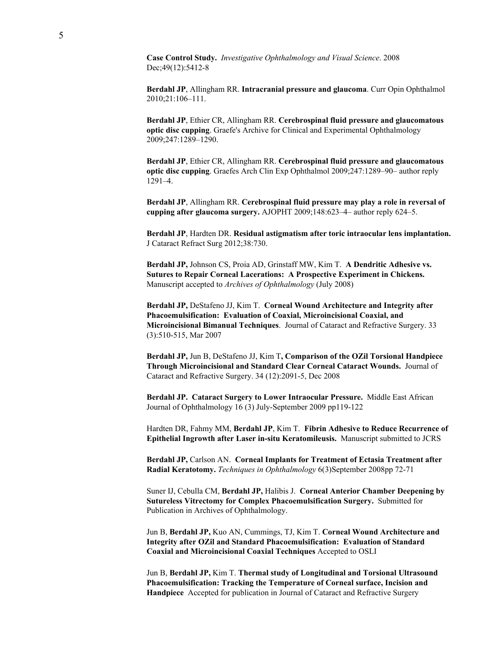**Case Control Study.** *Investigative Ophthalmology and Visual Science*. 2008 Dec;49(12):5412-8

**Berdahl JP**, Allingham RR. **Intracranial pressure and glaucoma**. Curr Opin Ophthalmol 2010;21:106–111.

**Berdahl JP**, Ethier CR, Allingham RR. **Cerebrospinal fluid pressure and glaucomatous optic disc cupping**. Graefe's Archive for Clinical and Experimental Ophthalmology 2009;247:1289–1290.

**Berdahl JP**, Ethier CR, Allingham RR. **Cerebrospinal fluid pressure and glaucomatous optic disc cupping**. Graefes Arch Clin Exp Ophthalmol 2009;247:1289–90– author reply 1291–4.

**Berdahl JP**, Allingham RR. **Cerebrospinal fluid pressure may play a role in reversal of cupping after glaucoma surgery.** AJOPHT 2009;148:623–4– author reply 624–5.

**Berdahl JP**, Hardten DR. **Residual astigmatism after toric intraocular lens implantation.** J Cataract Refract Surg 2012;38:730.

**Berdahl JP,** Johnson CS, Proia AD, Grinstaff MW, Kim T. **A Dendritic Adhesive vs. Sutures to Repair Corneal Lacerations: A Prospective Experiment in Chickens.** Manuscript accepted to *Archives of Ophthalmology* (July 2008)

**Berdahl JP,** DeStafeno JJ, Kim T. **Corneal Wound Architecture and Integrity after Phacoemulsification: Evaluation of Coaxial, Microincisional Coaxial, and Microincisional Bimanual Techniques**. Journal of Cataract and Refractive Surgery. 33 (3):510-515, Mar 2007

**Berdahl JP,** Jun B, DeStafeno JJ, Kim T**, Comparison of the OZil Torsional Handpiece Through Microincisional and Standard Clear Corneal Cataract Wounds.** Journal of Cataract and Refractive Surgery. 34 (12):2091-5, Dec 2008

**Berdahl JP. Cataract Surgery to Lower Intraocular Pressure.** Middle East African Journal of Ophthalmology 16 (3) July-September 2009 pp119-122

Hardten DR, Fahmy MM, **Berdahl JP**, Kim T. **Fibrin Adhesive to Reduce Recurrence of Epithelial Ingrowth after Laser in-situ Keratomileusis.** Manuscript submitted to JCRS

**Berdahl JP,** Carlson AN. **Corneal Implants for Treatment of Ectasia Treatment after Radial Keratotomy.** *Techniques in Ophthalmology* 6(3)September 2008pp 72-71

Suner IJ, Cebulla CM, **Berdahl JP,** Halibis J. **Corneal Anterior Chamber Deepening by Sutureless Vitrectomy for Complex Phacoemulsification Surgery.** Submitted for Publication in Archives of Ophthalmology.

Jun B, **Berdahl JP,** Kuo AN, Cummings, TJ, Kim T. **Corneal Wound Architecture and Integrity after OZil and Standard Phacoemulsification: Evaluation of Standard Coaxial and Microincisional Coaxial Techniques** Accepted to OSLI

Jun B, **Berdahl JP,** Kim T. **Thermal study of Longitudinal and Torsional Ultrasound Phacoemulsification: Tracking the Temperature of Corneal surface, Incision and Handpiece** Accepted for publication in Journal of Cataract and Refractive Surgery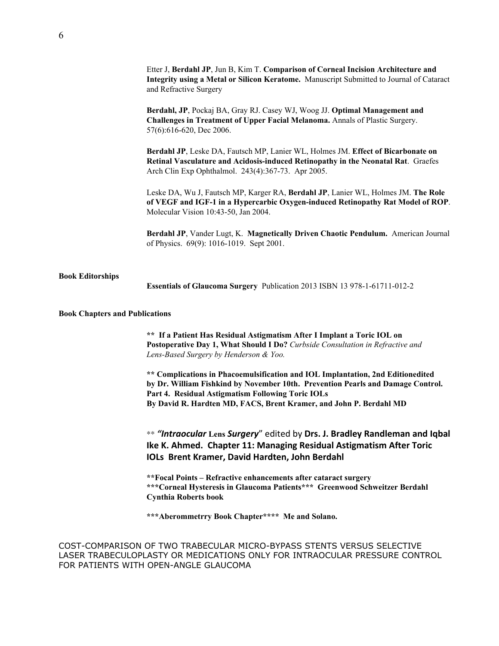|                                       | Etter J, Berdahl JP, Jun B, Kim T. Comparison of Corneal Incision Architecture and<br>Integrity using a Metal or Silicon Keratome. Manuscript Submitted to Journal of Cataract<br>and Refractive Surgery                                                                                      |
|---------------------------------------|-----------------------------------------------------------------------------------------------------------------------------------------------------------------------------------------------------------------------------------------------------------------------------------------------|
|                                       | Berdahl, JP, Pockaj BA, Gray RJ. Casey WJ, Woog JJ. Optimal Management and<br>Challenges in Treatment of Upper Facial Melanoma. Annals of Plastic Surgery.<br>57(6):616-620, Dec 2006.                                                                                                        |
|                                       | Berdahl JP, Leske DA, Fautsch MP, Lanier WL, Holmes JM. Effect of Bicarbonate on<br>Retinal Vasculature and Acidosis-induced Retinopathy in the Neonatal Rat. Graefes<br>Arch Clin Exp Ophthalmol. 243(4):367-73. Apr 2005.                                                                   |
|                                       | Leske DA, Wu J, Fautsch MP, Karger RA, Berdahl JP, Lanier WL, Holmes JM. The Role<br>of VEGF and IGF-1 in a Hypercarbic Oxygen-induced Retinopathy Rat Model of ROP.<br>Molecular Vision 10:43-50, Jan 2004.                                                                                  |
|                                       | Berdahl JP, Vander Lugt, K. Magnetically Driven Chaotic Pendulum. American Journal<br>of Physics. 69(9): 1016-1019. Sept 2001.                                                                                                                                                                |
| <b>Book Editorships</b>               | Essentials of Glaucoma Surgery Publication 2013 ISBN 13 978-1-61711-012-2                                                                                                                                                                                                                     |
| <b>Book Chapters and Publications</b> |                                                                                                                                                                                                                                                                                               |
|                                       | ** If a Patient Has Residual Astigmatism After I Implant a Toric IOL on<br>Postoperative Day 1, What Should I Do? Curbside Consultation in Refractive and<br>Lens-Based Surgery by Henderson & Yoo.                                                                                           |
|                                       | ** Complications in Phacoemulsification and IOL Implantation, 2nd Editionedited<br>by Dr. William Fishkind by November 10th. Prevention Pearls and Damage Control.<br>Part 4. Residual Astigmatism Following Toric IOLs<br>By David R. Hardten MD, FACS, Brent Kramer, and John P. Berdahl MD |
|                                       | ** "Intraocular Lens Surgery" edited by Drs. J. Bradley Randleman and Iqbal<br>Ike K. Ahmed. Chapter 11: Managing Residual Astigmatism After Toric<br>IOLs Brent Kramer, David Hardten, John Berdahl                                                                                          |
|                                       | **Focal Points - Refractive enhancements after cataract surgery<br>*** Corneal Hysteresis in Glaucoma Patients *** Greenwood Schweitzer Berdahl<br><b>Cynthia Roberts book</b>                                                                                                                |
|                                       | *** Aberommetrry Book Chapter**** Me and Solano.                                                                                                                                                                                                                                              |
|                                       | COST-COMPARISON OF TWO TRABECULAR MICRO-BYPASS STENTS VERSUS SELECTIVE<br>LASER TRABECULOPLASTY OR MEDICATIONS ONLY FOR INTRAOCULAR PRESSURE CONTROL<br>FOR PATIENTS WITH OPEN-ANGLE GLAUCOMA                                                                                                 |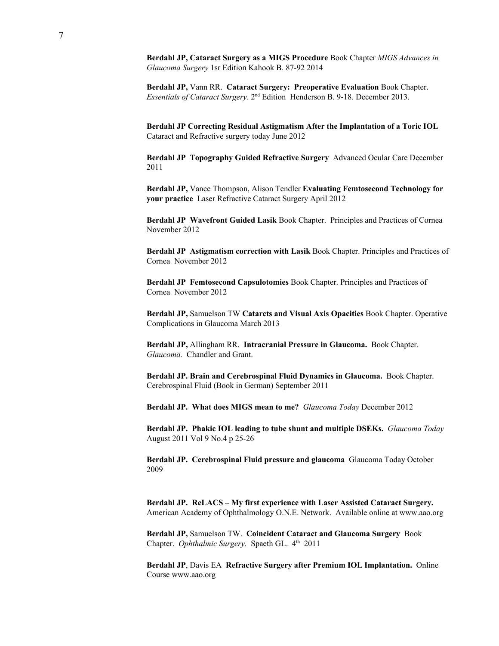**Berdahl JP, Cataract Surgery as a MIGS Procedure** Book Chapter *MIGS Advances in Glaucoma Surgery* 1sr Edition Kahook B. 87-92 2014

**Berdahl JP,** Vann RR. **Cataract Surgery: Preoperative Evaluation** Book Chapter. Essentials of Cataract Surgery. 2<sup>nd</sup> Edition Henderson B. 9-18. December 2013.

**Berdahl JP Correcting Residual Astigmatism After the [Implantation](http://bmctoday.net/crstoday/2012/06/article.asp?f=correcting-residual-astigmatism-after-the-implantation-of-a-toric-iol) of a Toric IOL** Cataract and Refractive surgery today June 2012

**Berdahl JP Topography Guided Refractive Surgery** Advanced Ocular Care December 2011

**Berdahl JP,** Vance Thompson, Alison Tendler **Evaluating Femtosecond Technology for your practice** Laser Refractive Cataract Surgery April 2012

**Berdahl JP Wavefront Guided Lasik** Book Chapter. Principles and Practices of Cornea November 2012

**Berdahl JP Astigmatism correction with Lasik** Book Chapter. Principles and Practices of Cornea November 2012

**Berdahl JP Femtosecond Capsulotomies** Book Chapter. Principles and Practices of Cornea November 2012

**Berdahl JP,** Samuelson TW **Catarcts and Visual Axis Opacities** Book Chapter. Operative Complications in Glaucoma March 2013

**Berdahl JP,** Allingham RR. **Intracranial Pressure in Glaucoma.** Book Chapter. *Glaucoma.* Chandler and Grant.

**Berdahl JP. Brain and Cerebrospinal Fluid Dynamics in Glaucoma.** Book Chapter. Cerebrospinal Fluid (Book in German) September 2011

**Berdahl JP. What does MIGS mean to me?** *Glaucoma Today* December 2012

**Berdahl JP. Phakic IOL leading to tube shunt and multiple DSEKs.** *Glaucoma Today* August 2011 Vol 9 No.4 p 25-26

**Berdahl JP. Cerebrospinal Fluid pressure and glaucoma** Glaucoma Today October 2009

**Berdahl JP. ReLACS – My first experience with Laser Assisted Cataract Surgery.** American Academy of Ophthalmology O.N.E. Network. Available online at www.aao.org

**Berdahl JP,** Samuelson TW. **Coincident Cataract and Glaucoma Surgery** Book Chapter. Ophthalmic Surgery. Spaeth GL. 4<sup>th</sup> 2011

**Berdahl JP**, Davis EA **Refractive Surgery after Premium IOL Implantation.** Online Course www.aao.org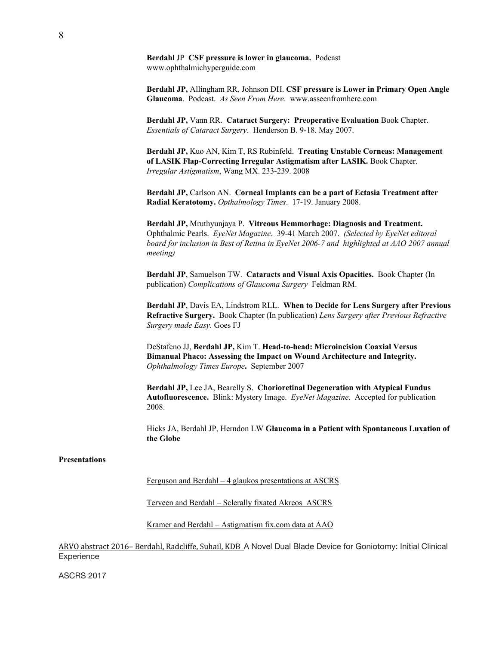**Berdahl** JP **CSF pressure is lower in glaucoma.** Podcast www.ophthalmichyperguide.com

**Berdahl JP,** Allingham RR, Johnson DH. **CSF pressure is Lower in Primary Open Angle Glaucoma**. Podcast. *As Seen From Here.* www.asseenfromhere.com

**Berdahl JP,** Vann RR. **Cataract Surgery: Preoperative Evaluation** Book Chapter. *Essentials of Cataract Surgery*. Henderson B. 9-18. May 2007.

**Berdahl JP,** Kuo AN, Kim T, RS Rubinfeld. **Treating Unstable Corneas: Management of LASIK Flap-Correcting Irregular Astigmatism after LASIK.** Book Chapter. *Irregular Astigmatism*, Wang MX. 233-239. 2008

**Berdahl JP,** Carlson AN. **Corneal Implants can be a part of Ectasia Treatment after Radial Keratotomy.** *Opthalmology Times*. 17-19. January 2008.

**Berdahl JP,** Mruthyunjaya P. **Vitreous Hemmorhage: Diagnosis and Treatment.** Ophthalmic Pearls. *EyeNet Magazine*. 39-41 March 2007. *(Selected by EyeNet editoral board for inclusion in Best of Retina in EyeNet 2006-7 and highlighted at AAO 2007 annual meeting)*

**Berdahl JP**, Samuelson TW. **Cataracts and Visual Axis Opacities.** Book Chapter (In publication) *Complications of Glaucoma Surgery* Feldman RM.

**Berdahl JP**, Davis EA, Lindstrom RLL. **When to Decide for Lens Surgery after Previous Refractive Surgery.** Book Chapter (In publication) *Lens Surgery after Previous Refractive Surgery made Easy.* Goes FJ

DeStafeno JJ, **Berdahl JP,** Kim T. **Head-to-head: Microincision Coaxial Versus Bimanual Phaco: Assessing the Impact on Wound Architecture and Integrity.** *Ophthalmology Times Europe***.** September 2007

**Berdahl JP,** Lee JA, Bearelly S. **Chorioretinal Degeneration with Atypical Fundus Autofluorescence.** Blink: Mystery Image. *EyeNet Magazine*. Accepted for publication 2008.

Hicks JA, Berdahl JP, Herndon LW **Glaucoma in a Patient with Spontaneous Luxation of the Globe**

#### **Presentations**

Ferguson and Berdahl – 4 glaukos presentations at ASCRS

Terveen and Berdahl – Sclerally fixated Akreos ASCRS

Kramer and Berdahl – Astigmatism fix.com data at AAO

ARVO abstract 2016– Berdahl, Radcliffe, Suhail, KDB A Novel Dual Blade Device for Goniotomy: Initial Clinical **Experience** 

ASCRS 2017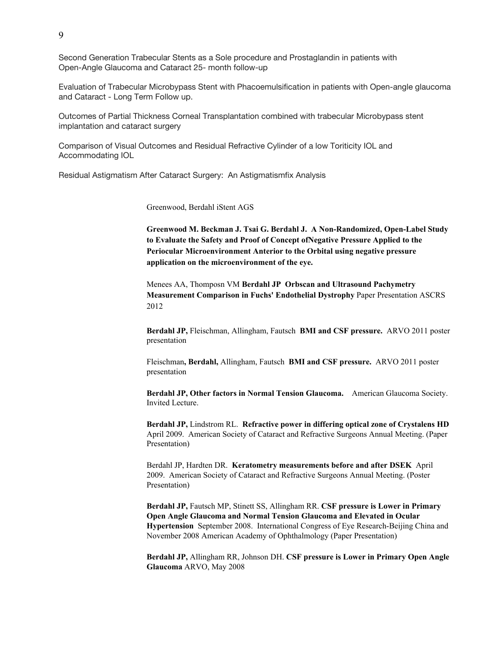Second Generation Trabecular Stents as a Sole procedure and Prostaglandin in patients with Open-Angle Glaucoma and Cataract 25- month follow-up

Evaluation of Trabecular Microbypass Stent with Phacoemulsification in patients with Open-angle glaucoma and Cataract - Long Term Follow up.

Outcomes of Partial Thickness Corneal Transplantation combined with trabecular Microbypass stent implantation and cataract surgery

Comparison of Visual Outcomes and Residual Refractive Cylinder of a low Toriticity IOL and Accommodating IOL

Residual Astigmatism After Cataract Surgery: An Astigmatismfix Analysis

Greenwood, Berdahl iStent AGS

**Greenwood M. Beckman J. Tsai G. Berdahl J. A Non-Randomized, Open-Label Study to Evaluate the Safety and Proof of Concept ofNegative Pressure Applied to the Periocular Microenvironment Anterior to the Orbital using negative pressure application on the microenvironment of the eye.**

Menees AA, Thomposn VM **Berdahl JP Orbscan and Ultrasound Pachymetry Measurement Comparison in Fuchs' Endothelial Dystrophy** Paper Presentation ASCRS 2012

**Berdahl JP,** Fleischman, Allingham, Fautsch **BMI and CSF pressure.** ARVO 2011 poster presentation

Fleischman**, Berdahl,** Allingham, Fautsch **BMI and CSF pressure.** ARVO 2011 poster presentation

**Berdahl JP, Other factors in Normal Tension Glaucoma.** American Glaucoma Society. Invited Lecture.

**Berdahl JP,** Lindstrom RL. **Refractive power in differing optical zone of Crystalens HD** April 2009. American Society of Cataract and Refractive Surgeons Annual Meeting. (Paper Presentation)

Berdahl JP, Hardten DR. **Keratometry measurements before and after DSEK** April 2009. American Society of Cataract and Refractive Surgeons Annual Meeting. (Poster Presentation)

**Berdahl JP,** Fautsch MP, Stinett SS, Allingham RR. **CSF pressure is Lower in Primary Open Angle Glaucoma and Normal Tension Glaucoma and Elevated in Ocular Hypertension** September 2008. International Congress of Eye Research-Beijing China and November 2008 American Academy of Ophthalmology (Paper Presentation)

**Berdahl JP,** Allingham RR, Johnson DH. **CSF pressure is Lower in Primary Open Angle Glaucoma** ARVO, May 2008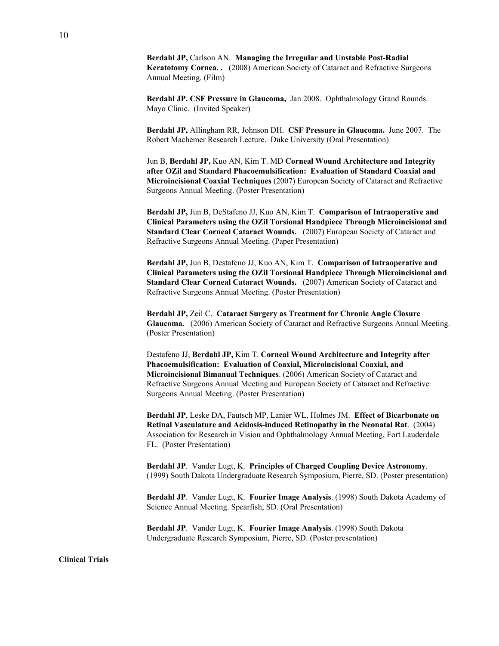**Berdahl JP,** Carlson AN. **Managing the Irregular and Unstable Post-Radial Keratotomy Cornea. .** (2008) American Society of Cataract and Refractive Surgeons Annual Meeting. (Film)

**Berdahl JP. CSF Pressure in Glaucoma,** Jan 2008. Ophthalmology Grand Rounds. Mayo Clinic. (Invited Speaker)

**Berdahl JP,** Allingham RR, Johnson DH. CSF Pressure in Glaucoma. June 2007. The Robert Machemer Research Lecture. Duke University (Oral Presentation)

Jun B, **Berdahl JP,** Kuo AN, Kim T. MD **Corneal Wound Architecture and Integrity after OZil and Standard Phacoemulsification: Evaluation of Standard Coaxial and Microincisional Coaxial Techniques** (2007) European Society of Cataract and Refractive Surgeons Annual Meeting. (Poster Presentation)

**Berdahl JP,** Jun B, DeStafeno JJ, Kuo AN, Kim T. **Comparison of Intraoperative and Clinical Parameters using the OZil Torsional Handpiece Through Microincisional and Standard Clear Corneal Cataract Wounds.** (2007) European Society of Cataract and Refractive Surgeons Annual Meeting. (Paper Presentation)

**Berdahl JP,** Jun B, Destafeno JJ, Kuo AN, Kim T. **Comparison of Intraoperative and Clinical Parameters using the OZil Torsional Handpiece Through Microincisional and Standard Clear Corneal Cataract Wounds.** (2007) American Society of Cataract and Refractive Surgeons Annual Meeting. (Poster Presentation)

**Berdahl JP,** Zeil C. **Cataract Surgery as Treatment for Chronic Angle Closure Glaucoma.** (2006) American Society of Cataract and Refractive Surgeons Annual Meeting. (Poster Presentation)

Destafeno JJ, **Berdahl JP,** Kim T. **Corneal Wound Architecture and Integrity after Phacoemulsification: Evaluation of Coaxial, Microincisional Coaxial, and Microincisional Bimanual Techniques**. (2006) American Society of Cataract and Refractive Surgeons Annual Meeting and European Society of Cataract and Refractive Surgeons Annual Meeting. (Poster Presentation)

**Berdahl JP**, Leske DA, Fautsch MP, Lanier WL, Holmes JM. **Effect of Bicarbonate on Retinal Vasculature and Acidosis-induced Retinopathy in the Neonatal Rat**. (2004) Association for Research in Vision and Ophthalmology Annual Meeting, Fort Lauderdale FL. (Poster Presentation)

**Berdahl JP**. Vander Lugt, K. **Principles of Charged Coupling Device Astronomy**. (1999) South Dakota Undergraduate Research Symposium, Pierre, SD. (Poster presentation)

**Berdahl JP**. Vander Lugt, K. **Fourier Image Analysis**. (1998) South Dakota Academy of Science Annual Meeting. Spearfish, SD. (Oral Presentation)

**Berdahl JP**. Vander Lugt, K. **Fourier Image Analysis**. (1998) South Dakota Undergraduate Research Symposium, Pierre, SD. (Poster presentation)

**Clinical Trials**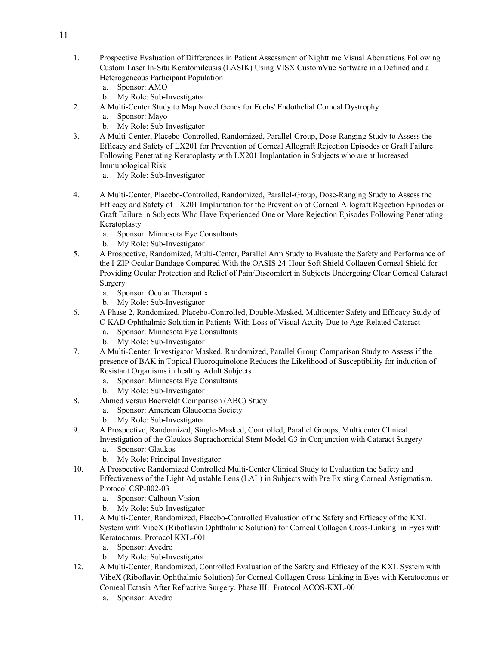- 1. Prospective Evaluation of Differences in Patient Assessment of Nighttime Visual Aberrations Following Custom Laser In-Situ Keratomileusis (LASIK) Using VISX CustomVue Software in a Defined and a Heterogeneous Participant Population
	- a. Sponsor: AMO
	- b. My Role: Sub-Investigator
- 2. A Multi-Center Study to Map Novel Genes for Fuchs' Endothelial Corneal Dystrophy
	- a. Sponsor: Mayo
	- b. My Role: Sub-Investigator
- 3. A Multi-Center, Placebo-Controlled, Randomized, Parallel-Group, Dose-Ranging Study to Assess the Efficacy and Safety of LX201 for Prevention of Corneal Allograft Rejection Episodes or Graft Failure Following Penetrating Keratoplasty with LX201 Implantation in Subjects who are at Increased Immunological Risk
	- a. My Role: Sub-Investigator
- 4. A Multi-Center, Placebo-Controlled, Randomized, Parallel-Group, Dose-Ranging Study to Assess the Efficacy and Safety of LX201 Implantation for the Prevention of Corneal Allograft Rejection Episodes or Graft Failure in Subjects Who Have Experienced One or More Rejection Episodes Following Penetrating Keratoplasty
	- a. Sponsor: Minnesota Eye Consultants
	- b. My Role: Sub-Investigator
- 5. A Prospective, Randomized, Multi-Center, Parallel Arm Study to Evaluate the Safety and Performance of the I-ZIP Ocular Bandage Compared With the OASIS 24-Hour Soft Shield Collagen Corneal Shield for Providing Ocular Protection and Relief of Pain/Discomfort in Subjects Undergoing Clear Corneal Cataract Surgery
	- a. Sponsor: Ocular Theraputix
	- b. My Role: Sub-Investigator
- 6. A Phase 2, Randomized, Placebo-Controlled, Double-Masked, Multicenter Safety and Efficacy Study of C-KAD Ophthalmic Solution in Patients With Loss of Visual Acuity Due to Age-Related Cataract
	- a. Sponsor: Minnesota Eye Consultants
	- b. My Role: Sub-Investigator
- 7. A Multi-Center, Investigator Masked, Randomized, Parallel Group Comparison Study to Assess if the presence of BAK in Topical Fluoroquinolone Reduces the Likelihood of Susceptibility for induction of Resistant Organisms in healthy Adult Subjects
	- a. Sponsor: Minnesota Eye Consultants
	- b. My Role: Sub-Investigator
- 8. Ahmed versus Baerveldt Comparison (ABC) Study
	- a. Sponsor: American Glaucoma Society
	- b. My Role: Sub-Investigator
- 9. A Prospective, Randomized, Single-Masked, Controlled, Parallel Groups, Multicenter Clinical Investigation of the Glaukos Suprachoroidal Stent Model G3 in Conjunction with Cataract Surgery
	- a. Sponsor: Glaukos
	- b. My Role: Principal Investigator
- 10. A Prospective Randomized Controlled Multi-Center Clinical Study to Evaluation the Safety and Effectiveness of the Light Adjustable Lens (LAL) in Subjects with Pre Existing Corneal Astigmatism. Protocol CSP-002-03
	- a. Sponsor: Calhoun Vision
	- b. My Role: Sub-Investigator
- 11. A Multi-Center, Randomized, Placebo-Controlled Evaluation of the Safety and Efficacy of the KXL System with VibeX (Riboflavin Ophthalmic Solution) for Corneal Collagen Cross-Linking in Eyes with Keratoconus. Protocol KXL-001
	- a. Sponsor: Avedro
	- b. My Role: Sub-Investigator
- 12. A Multi-Center, Randomized, Controlled Evaluation of the Safety and Efficacy of the KXL System with VibeX (Riboflavin Ophthalmic Solution) for Corneal Collagen Cross-Linking in Eyes with Keratoconus or Corneal Ectasia After Refractive Surgery. Phase III. Protocol ACOS-KXL-001
	- a. Sponsor: Avedro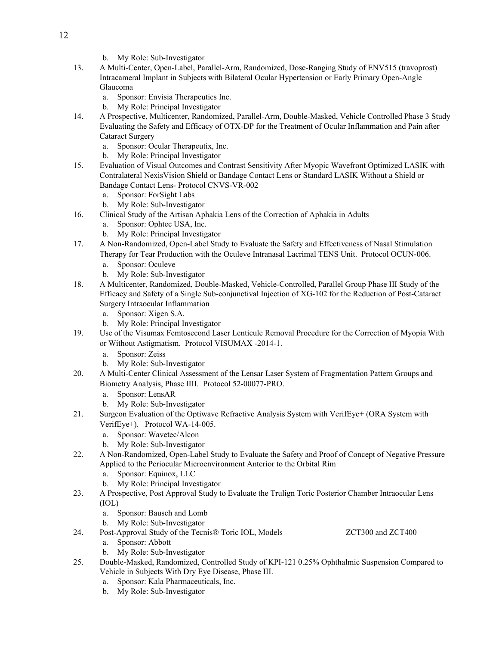- b. My Role: Sub-Investigator
- 13. A Multi-Center, Open-Label, Parallel-Arm, Randomized, Dose-Ranging Study of ENV515 (travoprost) Intracameral Implant in Subjects with Bilateral Ocular Hypertension or Early Primary Open-Angle Glaucoma
	- a. Sponsor: Envisia Therapeutics Inc.
	- b. My Role: Principal Investigator
- 14. A Prospective, Multicenter, Randomized, Parallel-Arm, Double-Masked, Vehicle Controlled Phase 3 Study Evaluating the Safety and Efficacy of OTX-DP for the Treatment of Ocular Inflammation and Pain after Cataract Surgery
	- a. Sponsor: Ocular Therapeutix, Inc.
	- b. My Role: Principal Investigator
- 15. Evaluation of Visual Outcomes and Contrast Sensitivity After Myopic Wavefront Optimized LASIK with Contralateral NexisVision Shield or Bandage Contact Lens or Standard LASIK Without a Shield or Bandage Contact Lens- Protocol CNVS-VR-002
	- a. Sponsor: ForSight Labs
	- b. My Role: Sub-Investigator
- 16. Clinical Study of the Artisan Aphakia Lens of the Correction of Aphakia in Adults
	- a. Sponsor: Ophtec USA, Inc.
	- b. My Role: Principal Investigator
- 17. A Non-Randomized, Open-Label Study to Evaluate the Safety and Effectiveness of Nasal Stimulation Therapy for Tear Production with the Oculeve Intranasal Lacrimal TENS Unit. Protocol OCUN-006.
	- a. Sponsor: Oculeve
	- b. My Role: Sub-Investigator
- 18. A Multicenter, Randomized, Double-Masked, Vehicle-Controlled, Parallel Group Phase III Study of the Efficacy and Safety of a Single Sub-conjunctival Injection of XG-102 for the Reduction of Post-Cataract Surgery Intraocular Inflammation
	- a. Sponsor: Xigen S.A.
	- b. My Role: Principal Investigator
- 19. Use of the Visumax Femtosecond Laser Lenticule Removal Procedure for the Correction of Myopia With or Without Astigmatism. Protocol VISUMAX -2014-1.
	- a. Sponsor: Zeiss
	- b. My Role: Sub-Investigator
- 20. A Multi-Center Clinical Assessment of the Lensar Laser System of Fragmentation Pattern Groups and Biometry Analysis, Phase IIII. Protocol 52-00077-PRO.
	- a. Sponsor: LensAR
	- b. My Role: Sub-Investigator
- 21. Surgeon Evaluation of the Optiwave Refractive Analysis System with VerifEye+ (ORA System with VerifEye+). Protocol WA-14-005.
	- a. Sponsor: Wavetec/Alcon
	- b. My Role: Sub-Investigator
- 22. A Non-Randomized, Open-Label Study to Evaluate the Safety and Proof of Concept of Negative Pressure Applied to the Periocular Microenvironment Anterior to the Orbital Rim
	- a. Sponsor: Equinox, LLC
	- b. My Role: Principal Investigator
- 23. A Prospective, Post Approval Study to Evaluate the Trulign Toric Posterior Chamber Intraocular Lens (IOL)
	- a. Sponsor: Bausch and Lomb
	- b. My Role: Sub-Investigator
- 24. Post-Approval Study of the Tecnis® Toric IOL, Models **ZCT300** and ZCT400
	- a. Sponsor: Abbott
	- b. My Role: Sub-Investigator
- 25. Double-Masked, Randomized, Controlled Study of KPI-121 0.25% Ophthalmic Suspension Compared to Vehicle in Subjects With Dry Eye Disease, Phase III.
	- a. Sponsor: Kala Pharmaceuticals, Inc.
	- b. My Role: Sub-Investigator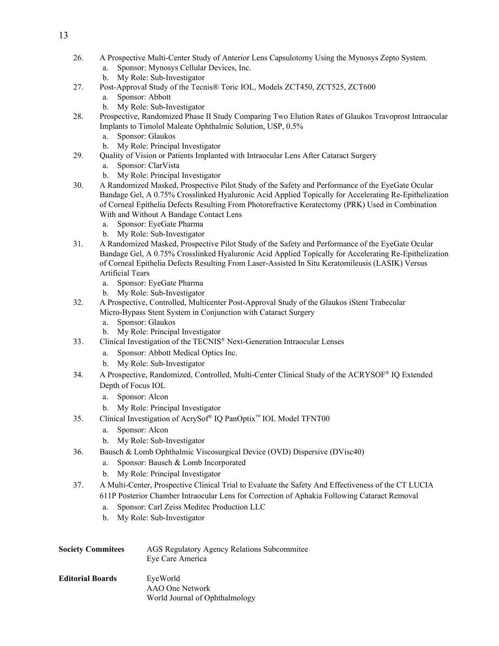- 26. A Prospective Multi-Center Study of Anterior Lens Capsulotomy Using the Mynosys Zepto System.
	- a. Sponsor: Mynosys Cellular Devices, Inc.
	- b. My Role: Sub-Investigator
- 27. Post-Approval Study of the Tecnis® Toric IOL, Models ZCT450, ZCT525, ZCT600
	- a. Sponsor: Abbott
	- b. My Role: Sub-Investigator
- 28. Prospective, Randomized Phase II Study Comparing Two Elution Rates of Glaukos Travoprost Intraocular Implants to Timolol Maleate Ophthalmic Solution, USP, 0.5%
	- a. Sponsor: Glaukos
	- b. My Role: Principal Investigator
- 29. Quality of Vision or Patients Implanted with Intraocular Lens After Cataract Surgery
	- a. Sponsor: ClarVista
	- b. My Role: Principal Investigator
- 30. A Randomized Masked, Prospective Pilot Study of the Safety and Performance of the EyeGate Ocular Bandage Gel, A 0.75% Crosslinked Hyaluronic Acid Applied Topically for Accelerating Re-Epithelization of Corneal Epithelia Defects Resulting From Photorefractive Keratectomy (PRK) Used in Combination With and Without A Bandage Contact Lens
	- a. Sponsor: EyeGate Pharma
	- b. My Role: Sub-Investigator
- 31. A Randomized Masked, Prospective Pilot Study of the Safety and Performance of the EyeGate Ocular Bandage Gel, A 0.75% Crosslinked Hyaluronic Acid Applied Topically for Accelerating Re-Epithelization of Corneal Epithelia Defects Resulting From Laser-Assisted In Situ Keratomileusis (LASIK) Versus Artificial Tears
	- a. Sponsor: EyeGate Pharma
	- b. My Role: Sub-Investigator
- 32. A Prospective, Controlled, Multicenter Post-Approval Study of the Glaukos iStent Trabecular Micro-Bypass Stent System in Conjunction with Cataract Surgery
	- a. Sponsor: Glaukos
	- b. My Role: Principal Investigator
- 33. Clinical Investigation of the TECNIS ® Next-Generation Intraocular Lenses
	- a. Sponsor: Abbott Medical Optics Inc.
	- b. My Role: Sub-Investigator
- 34. A Prospective, Randomized, Controlled, Multi-Center Clinical Study of the ACRYSOF ® IQ Extended Depth of Focus IOL
	- a. Sponsor: Alcon
	- b. My Role: Principal Investigator
- 35. Clinical Investigation of AcrySof ® IQ PanOptix™ IOL Model TFNT00
	- a. Sponsor: Alcon
	- b. My Role: Sub-Investigator
- 36. Bausch & Lomb Ophthalmic Viscosurgical Device (OVD) Dispersive (DVisc40)
	- a. Sponsor: Bausch & Lomb Incorporated
	- b. My Role: Principal Investigator
- 37. A Multi-Center, Prospective Clinical Trial to Evaluate the Safety And Effectiveness of the CT LUCIA 611P Posterior Chamber Intraocular Lens for Correction of Aphakia Following Cataract Removal
	- a. Sponsor: Carl Zeiss Meditec Production LLC
	- b. My Role: Sub-Investigator

| <b>Society Commitees</b> | AGS Regulatory Agency Relations Subcommitee<br>Eye Care America |
|--------------------------|-----------------------------------------------------------------|
| <b>Editorial Boards</b>  | EveWorld<br>AAO One Network                                     |
|                          | World Journal of Ophthalmology                                  |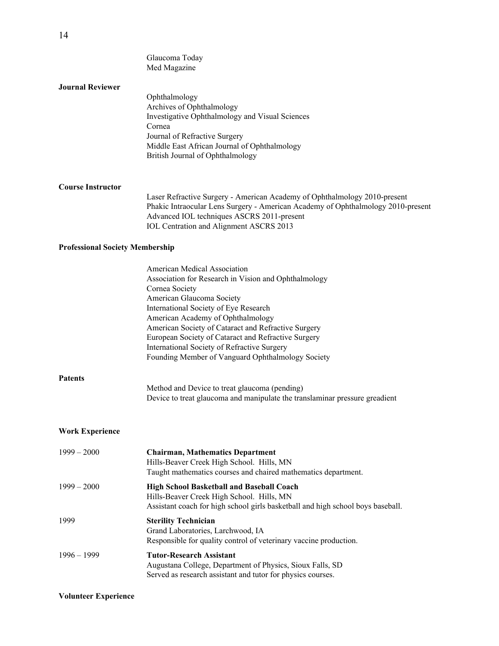|                                        | Glaucoma Today<br>Med Magazine                                                                                                                                                                                                                                                                                                                                                                                                      |
|----------------------------------------|-------------------------------------------------------------------------------------------------------------------------------------------------------------------------------------------------------------------------------------------------------------------------------------------------------------------------------------------------------------------------------------------------------------------------------------|
| <b>Journal Reviewer</b>                | Ophthalmology<br>Archives of Ophthalmology<br>Investigative Ophthalmology and Visual Sciences<br>Cornea<br>Journal of Refractive Surgery<br>Middle East African Journal of Ophthalmology<br>British Journal of Ophthalmology                                                                                                                                                                                                        |
| <b>Course Instructor</b>               | Laser Refractive Surgery - American Academy of Ophthalmology 2010-present<br>Phakic Intraocular Lens Surgery - American Academy of Ophthalmology 2010-present<br>Advanced IOL techniques ASCRS 2011-present<br>IOL Centration and Alignment ASCRS 2013                                                                                                                                                                              |
| <b>Professional Society Membership</b> |                                                                                                                                                                                                                                                                                                                                                                                                                                     |
|                                        | American Medical Association<br>Association for Research in Vision and Ophthalmology<br>Cornea Society<br>American Glaucoma Society<br>International Society of Eye Research<br>American Academy of Ophthalmology<br>American Society of Cataract and Refractive Surgery<br>European Society of Cataract and Refractive Surgery<br>International Society of Refractive Surgery<br>Founding Member of Vanguard Ophthalmology Society |
| Patents                                | Method and Device to treat glaucoma (pending)<br>Device to treat glaucoma and manipulate the translaminar pressure greadient                                                                                                                                                                                                                                                                                                        |
| <b>Work Experience</b>                 |                                                                                                                                                                                                                                                                                                                                                                                                                                     |
| $1999 - 2000$                          | <b>Chairman, Mathematics Department</b><br>Hills-Beaver Creek High School. Hills, MN<br>Taught mathematics courses and chaired mathematics department.                                                                                                                                                                                                                                                                              |
| $1999 - 2000$                          | <b>High School Basketball and Baseball Coach</b><br>Hills-Beaver Creek High School. Hills, MN<br>Assistant coach for high school girls basketball and high school boys baseball.                                                                                                                                                                                                                                                    |
| 1999                                   | <b>Sterility Technician</b><br>Grand Laboratories, Larchwood, IA<br>Responsible for quality control of veterinary vaccine production.                                                                                                                                                                                                                                                                                               |
| $1996 - 1999$                          | <b>Tutor-Research Assistant</b><br>Augustana College, Department of Physics, Sioux Falls, SD<br>Served as research assistant and tutor for physics courses.                                                                                                                                                                                                                                                                         |

## **Volunteer Experience**